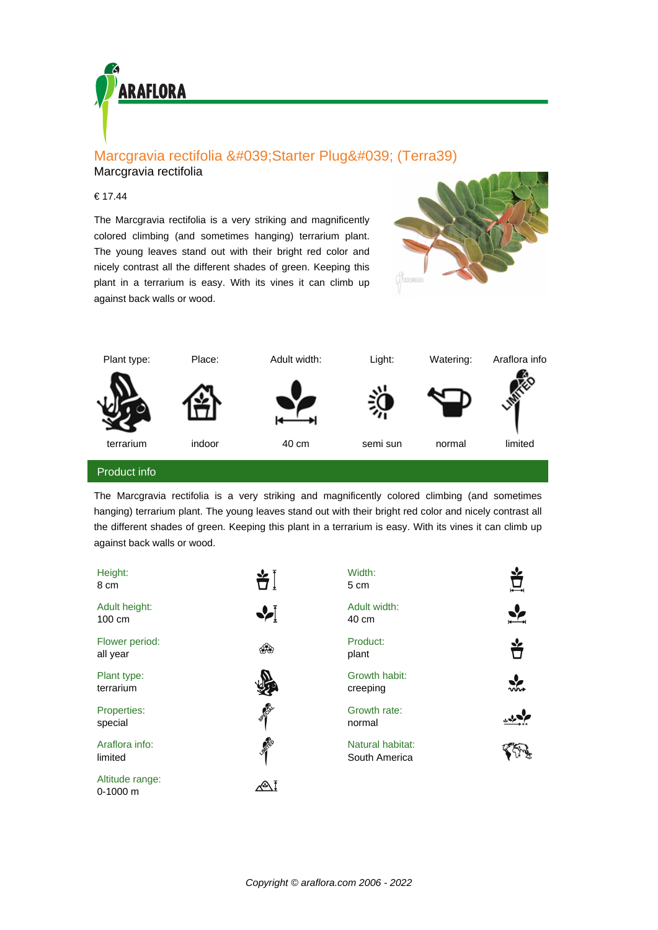

# Marcgravia rectifolia 'Starter Plug' (Terra39)

## Marcgravia rectifolia

### € 17.44

The Marcgravia rectifolia is a very striking and magnificently colored climbing (and sometimes hanging) terrarium plant. The young leaves stand out with their bright red color and nicely contrast all the different shades of green. Keeping this plant in a terrarium is easy. With its vines it can climb up against back walls or wood.





#### Product info

The Marcgravia rectifolia is a very striking and magnificently colored climbing (and sometimes hanging) terrarium plant. The young leaves stand out with their bright red color and nicely contrast all the different shades of green. Keeping this plant in a terrarium is easy. With its vines it can climb up against back walls or wood.

| Height:<br>8 cm               |                | Width:<br>5 cm                    | Ě     |
|-------------------------------|----------------|-----------------------------------|-------|
| Adult height:<br>100 cm       |                | Adult width:<br>40 cm             |       |
| Flower period:<br>all year    |                | Product:<br>plant                 | Ů     |
| Plant type:<br>terrarium      |                | Growth habit:<br>creeping         | งข้อง |
| Properties:<br>special        | <b>SERIES</b>  | Growth rate:<br>normal            |       |
| Araflora info:<br>limited     | <b>LIMITED</b> | Natural habitat:<br>South America |       |
| Altitude range:<br>$0-1000$ m |                |                                   |       |